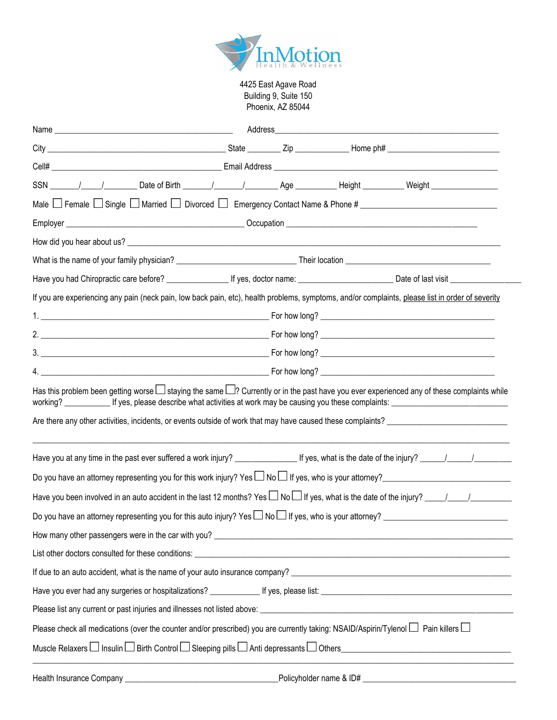

4425 East Agave Road Building 9, Suite 150 Phoenix, AZ 85044

| If you are experiencing any pain (neck pain, low back pain, etc), health problems, symptoms, and/or complaints, please list in order of severity                                                                                                                                                 |  |  |
|--------------------------------------------------------------------------------------------------------------------------------------------------------------------------------------------------------------------------------------------------------------------------------------------------|--|--|
|                                                                                                                                                                                                                                                                                                  |  |  |
|                                                                                                                                                                                                                                                                                                  |  |  |
|                                                                                                                                                                                                                                                                                                  |  |  |
|                                                                                                                                                                                                                                                                                                  |  |  |
| Has this problem been getting worse $\Box$ staying the same $\Box$ ? Currently or in the past have you ever experienced any of these complaints while<br>working? ______________ If yes, please describe what activities at work may be causing you these complaints: __________________________ |  |  |
|                                                                                                                                                                                                                                                                                                  |  |  |
|                                                                                                                                                                                                                                                                                                  |  |  |
| Do you have an attorney representing you for this work injury? Yes $\square$ No $\square$ If yes, who is your attorney? example that the matter reserves the set of the set of the set of the set of the set of the set of the set of t                                                          |  |  |
| Have you been involved in an auto accident in the last 12 months? Yes $\Box$ No $\Box$ If yes, what is the date of the injury? $\Box$                                                                                                                                                            |  |  |
|                                                                                                                                                                                                                                                                                                  |  |  |
|                                                                                                                                                                                                                                                                                                  |  |  |
|                                                                                                                                                                                                                                                                                                  |  |  |
|                                                                                                                                                                                                                                                                                                  |  |  |
|                                                                                                                                                                                                                                                                                                  |  |  |
| Please list any current or past injuries and illnesses not listed above: entity and the content of the content of the content of the content of the content of the content of the content of the content of the content of the                                                                   |  |  |
| Please check all medications (over the counter and/or prescribed) you are currently taking: NSAID/Aspirin/Tylenol $\Box$ Pain killers $\Box$                                                                                                                                                     |  |  |
|                                                                                                                                                                                                                                                                                                  |  |  |

Health Insurance Company \_\_\_\_\_\_\_\_\_\_\_\_\_\_\_\_\_\_\_\_\_\_\_\_\_\_\_\_\_\_\_\_\_\_\_\_\_Policyholder name & ID# \_\_\_\_\_\_\_\_\_\_\_\_\_\_\_\_\_\_\_\_\_\_\_\_\_\_\_\_\_\_\_\_\_\_\_\_\_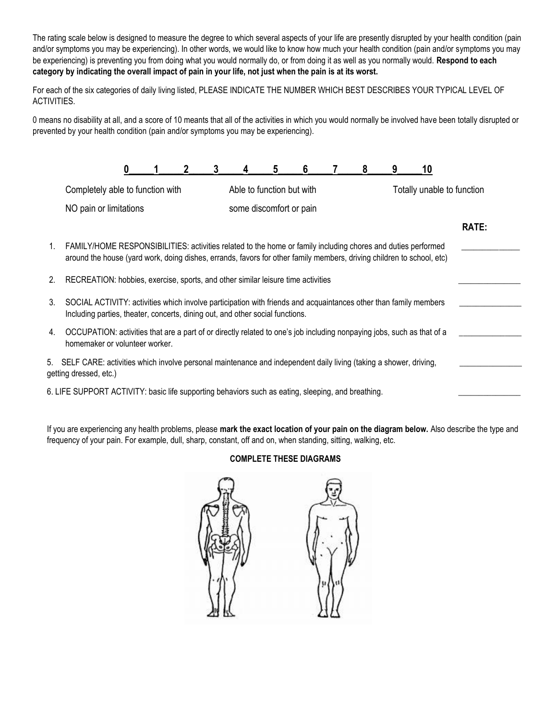The rating scale below is designed to measure the degree to which several aspects of your life are presently disrupted by your health condition (pain and/or symptoms you may be experiencing). In other words, we would like to know how much your health condition (pain and/or symptoms you may be experiencing) is preventing you from doing what you would normally do, or from doing it as well as you normally would. **Respond to each category by indicating the overall impact of pain in your life, not just when the pain is at its worst.**

For each of the six categories of daily living listed, PLEASE INDICATE THE NUMBER WHICH BEST DESCRIBES YOUR TYPICAL LEVEL OF ACTIVITIES.

0 means no disability at all, and a score of 10 meants that all of the activities in which you would normally be involved have been totally disrupted or prevented by your health condition (pain and/or symptoms you may be experiencing).

|    |                                                                                                                                                                                                                                       |  | 3 |                           | 6 | 8 | 9 | 10                         |       |
|----|---------------------------------------------------------------------------------------------------------------------------------------------------------------------------------------------------------------------------------------|--|---|---------------------------|---|---|---|----------------------------|-------|
|    | Completely able to function with                                                                                                                                                                                                      |  |   | Able to function but with |   |   |   | Totally unable to function |       |
|    | NO pain or limitations                                                                                                                                                                                                                |  |   | some discomfort or pain   |   |   |   |                            |       |
|    |                                                                                                                                                                                                                                       |  |   |                           |   |   |   |                            | RATE: |
| 1. | FAMILY/HOME RESPONSIBILITIES: activities related to the home or family including chores and duties performed<br>around the house (yard work, doing dishes, errands, favors for other family members, driving children to school, etc) |  |   |                           |   |   |   |                            |       |
| 2. | RECREATION: hobbies, exercise, sports, and other similar leisure time activities                                                                                                                                                      |  |   |                           |   |   |   |                            |       |
| 3. | SOCIAL ACTIVITY: activities which involve participation with friends and acquaintances other than family members<br>Including parties, theater, concerts, dining out, and other social functions.                                     |  |   |                           |   |   |   |                            |       |
| 4. | OCCUPATION: activities that are a part of or directly related to one's job including nonpaying jobs, such as that of a<br>homemaker or volunteer worker.                                                                              |  |   |                           |   |   |   |                            |       |
|    | 5. SELF CARE: activities which involve personal maintenance and independent daily living (taking a shower, driving,<br>getting dressed, etc.)                                                                                         |  |   |                           |   |   |   |                            |       |
|    | 6. LIFE SUPPORT ACTIVITY: basic life supporting behaviors such as eating, sleeping, and breathing.                                                                                                                                    |  |   |                           |   |   |   |                            |       |
|    |                                                                                                                                                                                                                                       |  |   |                           |   |   |   |                            |       |

If you are experiencing any health problems, please **mark the exact location of your pain on the diagram below.** Also describe the type and frequency of your pain. For example, dull, sharp, constant, off and on, when standing, sitting, walking, etc.

# **COMPLETE THESE DIAGRAMS**

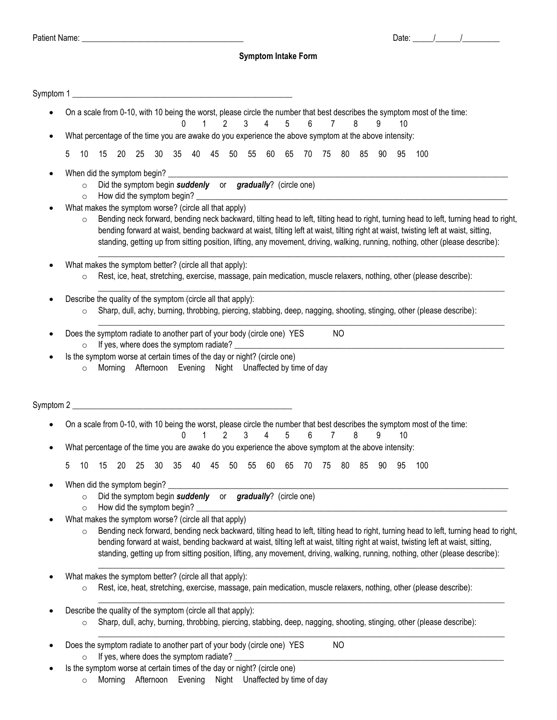# **Symptom Intake Form**

|   |                    |    |         |                                                              |                                           | 0    | 1            |       | $\overline{2}$ | On a scale from 0-10, with 10 being the worst, please circle the number that best describes the symptom most of the time:<br>$\mathbf{3}$<br>$\overline{4}$ | 5        | 6              | $\overline{7}$ |           | 8  | 9  | 10  |     |  |                                                                                                                                                                                                                                                                           |
|---|--------------------|----|---------|--------------------------------------------------------------|-------------------------------------------|------|--------------|-------|----------------|-------------------------------------------------------------------------------------------------------------------------------------------------------------|----------|----------------|----------------|-----------|----|----|-----|-----|--|---------------------------------------------------------------------------------------------------------------------------------------------------------------------------------------------------------------------------------------------------------------------------|
|   |                    |    |         |                                                              |                                           |      |              |       |                | What percentage of the time you are awake do you experience the above symptom at the above intensity:                                                       |          |                |                |           |    |    |     |     |  |                                                                                                                                                                                                                                                                           |
| 5 | 10                 | 15 | - 20    | 25                                                           | - 30                                      | - 35 | 40           | 45 50 |                | 55 60                                                                                                                                                       | 65       |                | 70 75          | 80        | 85 | 90 | -95 | 100 |  |                                                                                                                                                                                                                                                                           |
|   | $\circ$<br>$\circ$ |    |         | When did the symptom begin?<br>How did the symptom begin?    |                                           |      |              |       |                | Did the symptom begin suddenly or gradually? (circle one)                                                                                                   |          |                |                |           |    |    |     |     |  |                                                                                                                                                                                                                                                                           |
|   | $\circ$            |    |         | What makes the symptom worse? (circle all that apply)        |                                           |      |              |       |                | bending forward at waist, bending backward at waist, tilting left at waist, tilting right at waist, twisting left at waist, sitting,                        |          |                |                |           |    |    |     |     |  | Bending neck forward, bending neck backward, tilting head to left, tilting head to right, turning head to left, turning head to right,<br>standing, getting up from sitting position, lifting, any movement, driving, walking, running, nothing, other (please describe): |
|   | $\circ$            |    |         | What makes the symptom better? (circle all that apply):      |                                           |      |              |       |                | Rest, ice, heat, stretching, exercise, massage, pain medication, muscle relaxers, nothing, other (please describe):                                         |          |                |                |           |    |    |     |     |  |                                                                                                                                                                                                                                                                           |
|   | $\circ$            |    |         | Describe the quality of the symptom (circle all that apply): |                                           |      |              |       |                | Sharp, dull, achy, burning, throbbing, piercing, stabbing, deep, nagging, shooting, stinging, other (please describe):                                      |          |                |                |           |    |    |     |     |  |                                                                                                                                                                                                                                                                           |
|   | $\circ$            |    |         |                                                              | If yes, where does the symptom radiate? _ |      |              |       |                | Does the symptom radiate to another part of your body (circle one) YES                                                                                      |          |                |                | <b>NO</b> |    |    |     |     |  |                                                                                                                                                                                                                                                                           |
|   |                    |    |         |                                                              |                                           |      |              |       |                |                                                                                                                                                             |          |                |                |           |    |    |     |     |  |                                                                                                                                                                                                                                                                           |
|   | $\circ$            |    | Morning |                                                              |                                           |      |              |       |                | Is the symptom worse at certain times of the day or night? (circle one)<br>Afternoon Evening Night Unaffected by time of day                                |          |                |                |           |    |    |     |     |  |                                                                                                                                                                                                                                                                           |
|   |                    |    |         |                                                              |                                           |      |              |       |                |                                                                                                                                                             |          |                |                |           |    |    |     |     |  |                                                                                                                                                                                                                                                                           |
|   |                    |    |         |                                                              |                                           |      |              |       |                | On a scale from 0-10, with 10 being the worst, please circle the number that best describes the symptom most of the time:                                   |          |                |                |           |    |    |     |     |  |                                                                                                                                                                                                                                                                           |
|   |                    |    |         |                                                              |                                           | 0    | $\mathbf{1}$ |       | $\overline{2}$ | $\mathbf{3}$<br>$\overline{4}$                                                                                                                              | 5        | $6\phantom{1}$ | $\overline{7}$ |           | 8  | 9  | 10  |     |  |                                                                                                                                                                                                                                                                           |
|   |                    |    |         |                                                              |                                           |      |              |       |                | What percentage of the time you are awake do you experience the above symptom at the above intensity:                                                       |          |                |                |           |    |    |     |     |  |                                                                                                                                                                                                                                                                           |
| 5 | 10                 | 15 | 20      | 25                                                           | 30                                        | 35   | 40           | 45    | 50             | 55                                                                                                                                                          | 60<br>65 | 70             | 75             | 80        | 85 | 90 | 95  | 100 |  |                                                                                                                                                                                                                                                                           |
|   | $\circ$            |    |         | When did the symptom begin?                                  |                                           |      |              |       |                | Did the symptom begin suddenly or gradually? (circle one)                                                                                                   |          |                |                |           |    |    |     |     |  |                                                                                                                                                                                                                                                                           |
|   | $\circ$            |    |         | How did the symptom begin?                                   |                                           |      |              |       |                |                                                                                                                                                             |          |                |                |           |    |    |     |     |  |                                                                                                                                                                                                                                                                           |
|   | $\circ$            |    |         | What makes the symptom worse? (circle all that apply)        |                                           |      |              |       |                | bending forward at waist, bending backward at waist, tilting left at waist, tilting right at waist, twisting left at waist, sitting,                        |          |                |                |           |    |    |     |     |  | Bending neck forward, bending neck backward, tilting head to left, tilting head to right, turning head to left, turning head to right,<br>standing, getting up from sitting position, lifting, any movement, driving, walking, running, nothing, other (please describe): |
|   | $\circ$            |    |         | What makes the symptom better? (circle all that apply):      |                                           |      |              |       |                | Rest, ice, heat, stretching, exercise, massage, pain medication, muscle relaxers, nothing, other (please describe):                                         |          |                |                |           |    |    |     |     |  |                                                                                                                                                                                                                                                                           |
|   | $\circ$            |    |         | Describe the quality of the symptom (circle all that apply): |                                           |      |              |       |                | Sharp, dull, achy, burning, throbbing, piercing, stabbing, deep, nagging, shooting, stinging, other (please describe):                                      |          |                |                |           |    |    |     |     |  |                                                                                                                                                                                                                                                                           |
|   | $\circ$            |    |         | If yes, where does the symptom radiate?                      |                                           |      |              |       |                | Does the symptom radiate to another part of your body (circle one) YES                                                                                      |          |                |                | <b>NO</b> |    |    |     |     |  |                                                                                                                                                                                                                                                                           |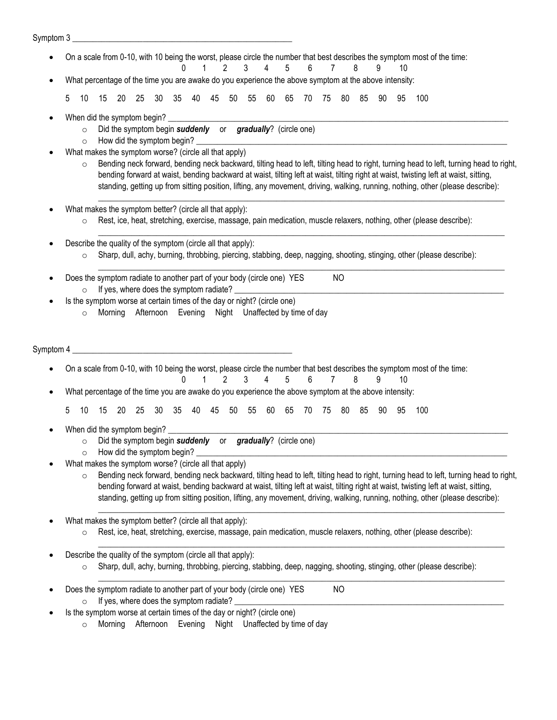#### Symptom 3

- On a scale from 0-10, with 10 being the worst, please circle the number that best describes the symptom most of the time:
	- 0 1 2 3 4 5 6 7 8 9 10 What percentage of the time you are awake do you experience the above symptom at the above intensity:

5 10 15 20 25 30 35 40 45 50 55 60 65 70 75 80 85 90 95 100

- When did the symptom begin?
	- o Did the symptom begin *suddenly* or *gradually*? (circle one)
	- $\circ$  How did the symptom begin?
- What makes the symptom worse? (circle all that apply)
	- $\circ$  Bending neck forward, bending neck backward, tilting head to left, tilting head to right, turning head to left, turning head to right, bending forward at waist, bending backward at waist, tilting left at waist, tilting right at waist, twisting left at waist, sitting, standing, getting up from sitting position, lifting, any movement, driving, walking, running, nothing, other (please describe):

 $\Box$ 

 $\Box$ 

- What makes the symptom better? (circle all that apply):
	- $\circ$  Rest, ice, heat, stretching, exercise, massage, pain medication, muscle relaxers, nothing, other (please describe):
- Describe the quality of the symptom (circle all that apply):
	- $\circ$  Sharp, dull, achy, burning, throbbing, piercing, stabbing, deep, nagging, shooting, stinging, other (please describe):
- $\Box$ Does the symptom radiate to another part of your body (circle one) YES NO  $\circ$  If yes, where does the symptom radiate? Is the symptom worse at certain times of the day or night? (circle one) o Morning Afternoon Evening Night Unaffected by time of day Symptom 4 On a scale from 0-10, with 10 being the worst, please circle the number that best describes the symptom most of the time: 0 1 2 3 4 5 6 7 8 9 10 What percentage of the time you are awake do you experience the above symptom at the above intensity: 5 10 15 20 25 30 35 40 45 50 55 60 65 70 75 80 85 90 95 100 When did the symptom begin? o Did the symptom begin *suddenly* or *gradually*? (circle one)  $\circ$  How did the symptom begin? What makes the symptom worse? (circle all that apply)  $\circ$  Bending neck forward, bending neck backward, tilting head to left, tilting head to right, turning head to left, turning head to right, bending forward at waist, bending backward at waist, tilting left at waist, tilting right at waist, twisting left at waist, sitting, standing, getting up from sitting position, lifting, any movement, driving, walking, running, nothing, other (please describe):
	- What makes the symptom better? (circle all that apply):
		- $\circ$  Rest, ice, heat, stretching, exercise, massage, pain medication, muscle relaxers, nothing, other (please describe):

 $\Box$ 

 $\Box$ 

\_\_\_\_\_\_\_\_\_\_\_\_\_\_\_\_\_\_\_\_\_\_\_\_\_\_\_\_\_\_\_\_\_\_\_\_\_\_\_\_\_\_\_\_\_\_\_\_\_\_\_\_\_\_\_\_\_\_\_\_\_\_\_\_\_\_\_\_\_\_\_\_\_\_\_\_\_\_\_\_\_\_\_\_\_\_\_\_\_\_\_\_\_\_\_\_\_\_

- Describe the quality of the symptom (circle all that apply):
	- o Sharp, dull, achy, burning, throbbing, piercing, stabbing, deep, nagging, shooting, stinging, other (please describe):
- Does the symptom radiate to another part of your body (circle one) YES NO  $\circ$  If yes, where does the symptom radiate?
	- Is the symptom worse at certain times of the day or night? (circle one)
		- o Morning Afternoon Evening Night Unaffected by time of day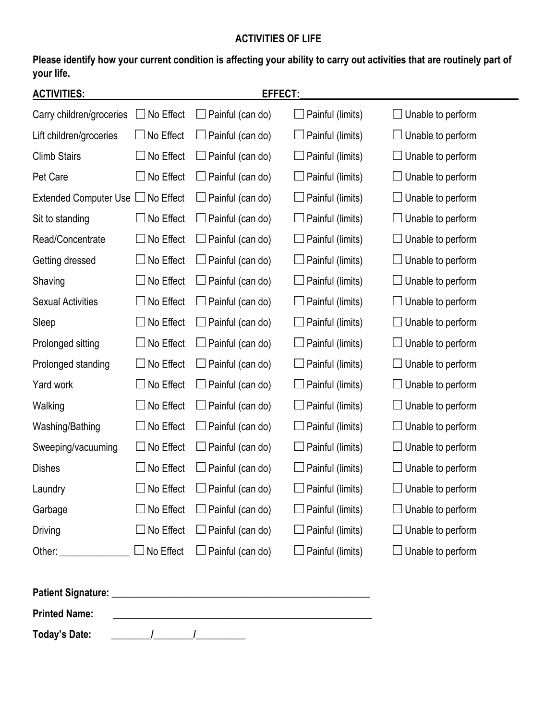# **ACTIVITIES OF LIFE**

**Please identify how your current condition is affecting your ability to carry out activities that are routinely part of your life.**

| <b>ACTIVITIES:</b>                     |                  | EFFECT:                 |                         |                          |
|----------------------------------------|------------------|-------------------------|-------------------------|--------------------------|
| Carry children/groceries               | No Effect        | Painful (can do)        | $\Box$ Painful (limits) | Unable to perform        |
| Lift children/groceries                | $\Box$ No Effect | Painful (can do)        | Painful (limits)        | Unable to perform        |
| <b>Climb Stairs</b>                    | No Effect        | $\Box$ Painful (can do) | Painful (limits)        | Unable to perform        |
| Pet Care                               | No Effect        | Painful (can do)        | Painful (limits)        | Unable to perform        |
| Extended Computer Use $\Box$ No Effect |                  | Painful (can do)        | Painful (limits)        | Unable to perform        |
| Sit to standing                        | No Effect        | Painful (can do)        | Painful (limits)        | Unable to perform        |
| Read/Concentrate                       | No Effect        | Painful (can do)        | Painful (limits)        | Unable to perform        |
| Getting dressed                        | No Effect        | Painful (can do)        | Painful (limits)        | Unable to perform        |
| Shaving                                | No Effect        | Painful (can do)        | Painful (limits)        | Unable to perform        |
| <b>Sexual Activities</b>               | No Effect        | Painful (can do)        | Painful (limits)        | Unable to perform        |
| Sleep                                  | No Effect        | Painful (can do)        | Painful (limits)        | Unable to perform        |
| Prolonged sitting                      | No Effect        | Painful (can do)        | Painful (limits)        | Unable to perform        |
| Prolonged standing                     | No Effect        | Painful (can do)        | Painful (limits)        | Unable to perform        |
| Yard work                              | No Effect        | Painful (can do)        | $\Box$ Painful (limits) | Unable to perform        |
| Walking                                | No Effect        | Painful (can do)        | Painful (limits)        | Unable to perform        |
| Washing/Bathing                        | No Effect        | Painful (can do)        | Painful (limits)        | Unable to perform        |
| Sweeping/vacuuming                     | No Effect        | Painful (can do)        | Painful (limits)        | Unable to perform        |
| <b>Dishes</b>                          | No Effect        | Painful (can do)        | Painful (limits)        | Unable to perform        |
| Laundry                                | No Effect        | Painful (can do)        | Painful (limits)        | Unable to perform        |
| Garbage                                | No Effect        | $\Box$ Painful (can do) | $\Box$ Painful (limits) | $\Box$ Unable to perform |
| Driving                                | $\Box$ No Effect | $\Box$ Painful (can do) | $\Box$ Painful (limits) | $\Box$ Unable to perform |
| Other: ________________                | $\Box$ No Effect | $\Box$ Painful (can do) | $\Box$ Painful (limits) | $\Box$ Unable to perform |
|                                        |                  |                         |                         |                          |
| <b>Printed Name:</b>                   |                  |                         |                         |                          |

**Today's Date: \_\_\_\_\_\_\_\_/\_\_\_\_\_\_\_\_/\_\_\_\_\_\_\_\_\_\_**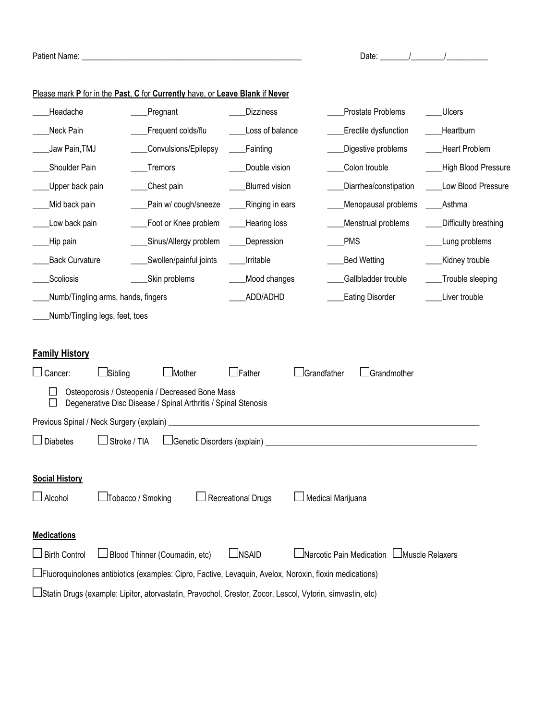| Patient Name: _                |                                                                                                                   |                           | Date: $\frac{1}{1}$ /              |                      |
|--------------------------------|-------------------------------------------------------------------------------------------------------------------|---------------------------|------------------------------------|----------------------|
|                                | Please mark P for in the Past, C for Currently have, or Leave Blank if Never                                      |                           |                                    |                      |
| Headache                       | Pregnant                                                                                                          | <b>Dizziness</b>          | Prostate Problems                  | <b>Ulcers</b>        |
| Neck Pain                      | Frequent colds/flu                                                                                                | Loss of balance           | Erectile dysfunction               | Heartburn            |
| Jaw Pain, TMJ                  | Convulsions/Epilepsy                                                                                              | Fainting                  | Digestive problems                 | <b>Heart Problem</b> |
| Shoulder Pain                  | Tremors                                                                                                           | Double vision             | Colon trouble                      | High Blood Pressure  |
| Upper back pain                | Chest pain                                                                                                        | Blurred vision            | Diarrhea/constipation              | Low Blood Pressure   |
| Mid back pain                  | Pain w/ cough/sneeze                                                                                              | Ringing in ears           | Menopausal problems                | Asthma               |
| Low back pain                  | Foot or Knee problem                                                                                              | Hearing loss              | Menstrual problems                 | Difficulty breathing |
| Hip pain                       | Sinus/Allergy problem                                                                                             | Depression                | <b>PMS</b>                         | Lung problems        |
| <b>Back Curvature</b>          | Swollen/painful joints                                                                                            |                           | <b>Bed Wetting</b>                 | Kidney trouble       |
| Scoliosis                      | Skin problems                                                                                                     |                           | Gallbladder trouble                | Trouble sleeping     |
|                                | Numb/Tingling arms, hands, fingers                                                                                |                           | <b>Eating Disorder</b>             | Liver trouble        |
| Numb/Tingling legs, feet, toes |                                                                                                                   |                           |                                    |                      |
|                                |                                                                                                                   |                           |                                    |                      |
| <b>Family History</b>          |                                                                                                                   |                           |                                    |                      |
| $\Box$ Sibling<br>Cancer:      | <b>L</b> Mother                                                                                                   | JFather                   | Grandfather<br><b>IGrandmother</b> |                      |
|                                | Osteoporosis / Osteopenia / Decreased Bone Mass<br>Degenerative Disc Disease / Spinal Arthritis / Spinal Stenosis |                           |                                    |                      |
|                                |                                                                                                                   |                           |                                    |                      |
| <b>Diabetes</b>                | Stroke / TIA<br>Genetic Disorders (explain)                                                                       |                           |                                    |                      |
|                                |                                                                                                                   |                           |                                    |                      |
| <b>Social History</b>          |                                                                                                                   |                           |                                    |                      |
| $\Box$ Alcohol                 | $\Box$ Tobacco / Smoking                                                                                          | <b>Recreational Drugs</b> | Medical Marijuana                  |                      |
|                                |                                                                                                                   |                           |                                    |                      |
| <b>Medications</b>             |                                                                                                                   |                           |                                    |                      |
| $\Box$ Birth Control           | Blood Thinner (Coumadin, etc)                                                                                     | $\Box$ NSAID              | $\Box$ Narcotic Pain Medication    | Muscle Relaxers      |
|                                | Fluoroquinolones antibiotics (examples: Cipro, Factive, Levaquin, Avelox, Noroxin, floxin medications)            |                           |                                    |                      |
|                                | Statin Drugs (example: Lipitor, atorvastatin, Pravochol, Crestor, Zocor, Lescol, Vytorin, simvastin, etc)         |                           |                                    |                      |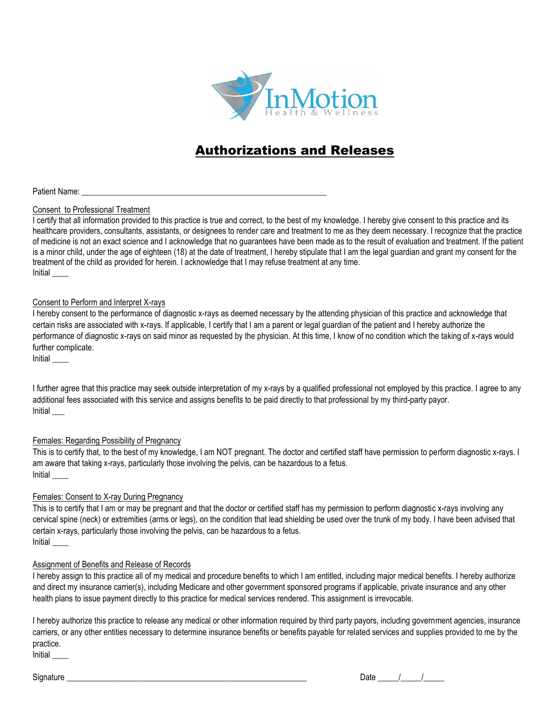

# Authorizations and Releases

Patient Name:

# Consent to Professional Treatment

I certify that all information provided to this practice is true and correct, to the best of my knowledge. I hereby give consent to this practice and its healthcare providers, consultants, assistants, or designees to render care and treatment to me as they deem necessary. I recognize that the practice of medicine is not an exact science and I acknowledge that no guarantees have been made as to the result of evaluation and treatment. If the patient is a minor child, under the age of eighteen (18) at the date of treatment, I hereby stipulate that I am the legal guardian and grant my consent for the treatment of the child as provided for herein. I acknowledge that I may refuse treatment at any time. Initial \_\_\_\_

# Consent to Perform and Interpret X-rays

I hereby consent to the performance of diagnostic x-rays as deemed necessary by the attending physician of this practice and acknowledge that certain risks are associated with x-rays. If applicable, I certify that I am a parent or legal guardian of the patient and I hereby authorize the performance of diagnostic x-rays on said minor as requested by the physician. At this time, I know of no condition which the taking of x-rays would further complicate.

Initial \_\_\_\_

I further agree that this practice may seek outside interpretation of my x-rays by a qualified professional not employed by this practice. I agree to any additional fees associated with this service and assigns benefits to be paid directly to that professional by my third-party payor. Initial \_\_\_

### Females: Regarding Possibility of Pregnancy

This is to certify that, to the best of my knowledge, I am NOT pregnant. The doctor and certified staff have permission to perform diagnostic x-rays. I am aware that taking x-rays, particularly those involving the pelvis, can be hazardous to a fetus. Initial \_\_\_\_

# Females: Consent to X-ray During Pregnancy

This is to certify that I am or may be pregnant and that the doctor or certified staff has my permission to perform diagnostic x-rays involving any cervical spine (neck) or extremities (arms or legs), on the condition that lead shielding be used over the trunk of my body. I have been advised that certain x-rays, particularly those involving the pelvis, can be hazardous to a fetus. Initial \_\_\_\_

# Assignment of Benefits and Release of Records

I hereby assign to this practice all of my medical and procedure benefits to which I am entitled, including major medical benefits. I hereby authorize and direct my insurance carrier(s), including Medicare and other government sponsored programs if applicable, private insurance and any other health plans to issue payment directly to this practice for medical services rendered. This assignment is irrevocable.

I hereby authorize this practice to release any medical or other information required by third party payors, including government agencies, insurance carriers, or any other entities necessary to determine insurance benefits or benefits payable for related services and supplies provided to me by the practice.

Initial \_\_\_\_

Signature  $\frac{1}{2}$  Date  $\frac{1}{2}$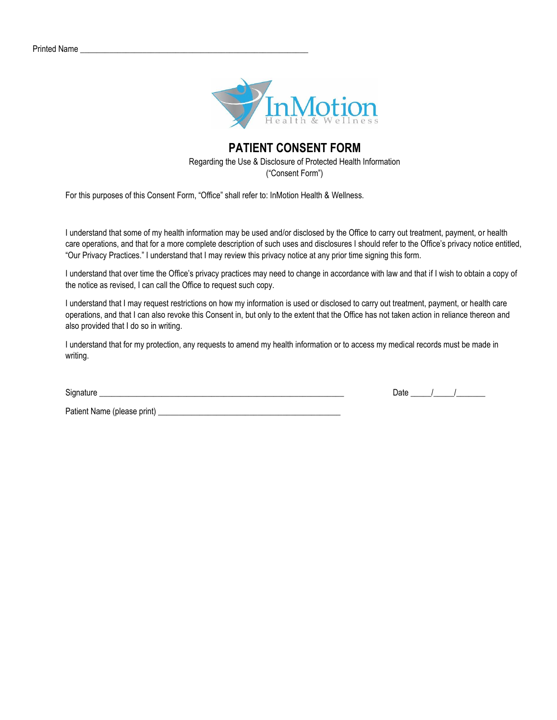

# **PATIENT CONSENT FORM** Regarding the Use & Disclosure of Protected Health Information ("Consent Form")

For this purposes of this Consent Form, "Office" shall refer to: InMotion Health & Wellness.

I understand that some of my health information may be used and/or disclosed by the Office to carry out treatment, payment, or health care operations, and that for a more complete description of such uses and disclosures I should refer to the Office's privacy notice entitled, "Our Privacy Practices." I understand that I may review this privacy notice at any prior time signing this form.

I understand that over time the Office's privacy practices may need to change in accordance with law and that if I wish to obtain a copy of the notice as revised, I can call the Office to request such copy.

I understand that I may request restrictions on how my information is used or disclosed to carry out treatment, payment, or health care operations, and that I can also revoke this Consent in, but only to the extent that the Office has not taken action in reliance thereon and also provided that I do so in writing.

I understand that for my protection, any requests to amend my health information or to access my medical records must be made in writing.

Signature  $\Box$ 

Patient Name (please print)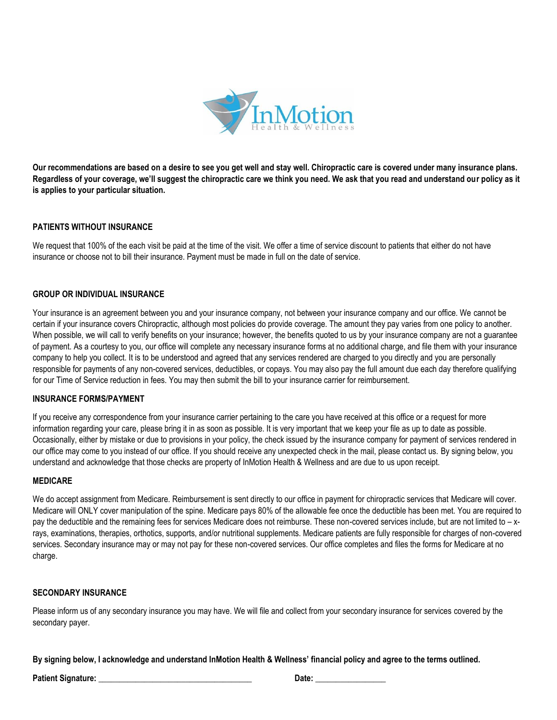

**Our recommendations are based on a desire to see you get well and stay well. Chiropractic care is covered under many insurance plans. Regardless of your coverage, we'll suggest the chiropractic care we think you need. We ask that you read and understand our policy as it is applies to your particular situation.** 

# **PATIENTS WITHOUT INSURANCE**

We request that 100% of the each visit be paid at the time of the visit. We offer a time of service discount to patients that either do not have insurance or choose not to bill their insurance. Payment must be made in full on the date of service.

### **GROUP OR INDIVIDUAL INSURANCE**

Your insurance is an agreement between you and your insurance company, not between your insurance company and our office. We cannot be certain if your insurance covers Chiropractic, although most policies do provide coverage. The amount they pay varies from one policy to another. When possible, we will call to verify benefits on your insurance; however, the benefits quoted to us by your insurance company are not a guarantee of payment. As a courtesy to you, our office will complete any necessary insurance forms at no additional charge, and file them with your insurance company to help you collect. It is to be understood and agreed that any services rendered are charged to you directly and you are personally responsible for payments of any non-covered services, deductibles, or copays. You may also pay the full amount due each day therefore qualifying for our Time of Service reduction in fees. You may then submit the bill to your insurance carrier for reimbursement.

#### **INSURANCE FORMS/PAYMENT**

If you receive any correspondence from your insurance carrier pertaining to the care you have received at this office or a request for more information regarding your care, please bring it in as soon as possible. It is very important that we keep your file as up to date as possible. Occasionally, either by mistake or due to provisions in your policy, the check issued by the insurance company for payment of services rendered in our office may come to you instead of our office. If you should receive any unexpected check in the mail, please contact us. By signing below, you understand and acknowledge that those checks are property of InMotion Health & Wellness and are due to us upon receipt.

#### **MEDICARE**

We do accept assignment from Medicare. Reimbursement is sent directly to our office in payment for chiropractic services that Medicare will cover. Medicare will ONLY cover manipulation of the spine. Medicare pays 80% of the allowable fee once the deductible has been met. You are required to pay the deductible and the remaining fees for services Medicare does not reimburse. These non-covered services include, but are not limited to – xrays, examinations, therapies, orthotics, supports, and/or nutritional supplements. Medicare patients are fully responsible for charges of non-covered services. Secondary insurance may or may not pay for these non-covered services. Our office completes and files the forms for Medicare at no charge.

### **SECONDARY INSURANCE**

Please inform us of any secondary insurance you may have. We will file and collect from your secondary insurance for services covered by the secondary payer.

**By signing below, I acknowledge and understand InMotion Health & Wellness' financial policy and agree to the terms outlined.**

**Patient Signature: \_\_\_\_\_\_\_\_\_\_\_\_\_\_\_\_\_\_\_\_\_\_\_\_\_\_\_\_\_\_\_\_\_\_\_\_\_ Date: \_\_\_\_\_\_\_\_\_\_\_\_\_\_\_\_\_**